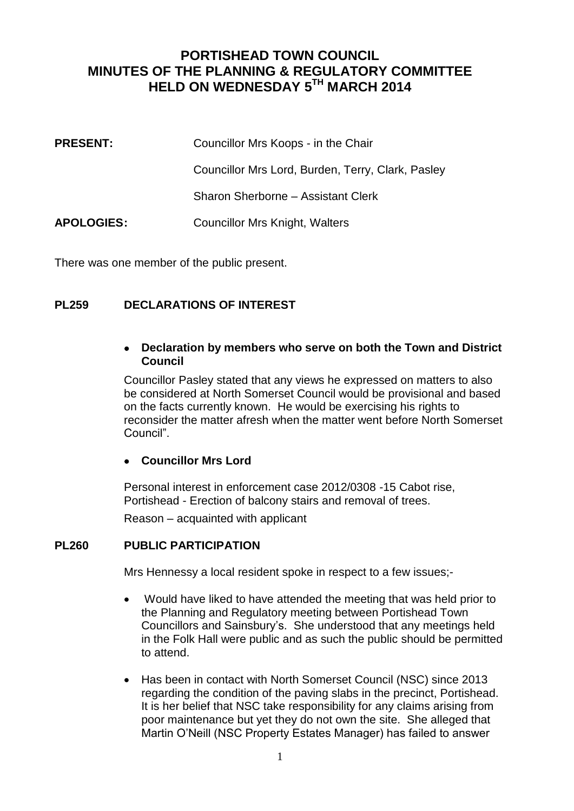# **PORTISHEAD TOWN COUNCIL MINUTES OF THE PLANNING & REGULATORY COMMITTEE HELD ON WEDNESDAY 5 TH MARCH 2014**

| <b>PRESENT:</b>   | Councillor Mrs Koops - in the Chair               |
|-------------------|---------------------------------------------------|
|                   | Councillor Mrs Lord, Burden, Terry, Clark, Pasley |
|                   | Sharon Sherborne - Assistant Clerk                |
| <b>APOLOGIES:</b> | Councillor Mrs Knight, Walters                    |

There was one member of the public present.

## **PL259 DECLARATIONS OF INTEREST**

## **Declaration by members who serve on both the Town and District Council**

Councillor Pasley stated that any views he expressed on matters to also be considered at North Somerset Council would be provisional and based on the facts currently known. He would be exercising his rights to reconsider the matter afresh when the matter went before North Somerset Council".

## **Councillor Mrs Lord**

Personal interest in enforcement case 2012/0308 -15 Cabot rise, Portishead - Erection of balcony stairs and removal of trees.

Reason – acquainted with applicant

## **PL260 PUBLIC PARTICIPATION**

Mrs Hennessy a local resident spoke in respect to a few issues;-

- Would have liked to have attended the meeting that was held prior to the Planning and Regulatory meeting between Portishead Town Councillors and Sainsbury's. She understood that any meetings held in the Folk Hall were public and as such the public should be permitted to attend.
- Has been in contact with North Somerset Council (NSC) since 2013 regarding the condition of the paving slabs in the precinct, Portishead. It is her belief that NSC take responsibility for any claims arising from poor maintenance but yet they do not own the site. She alleged that Martin O'Neill (NSC Property Estates Manager) has failed to answer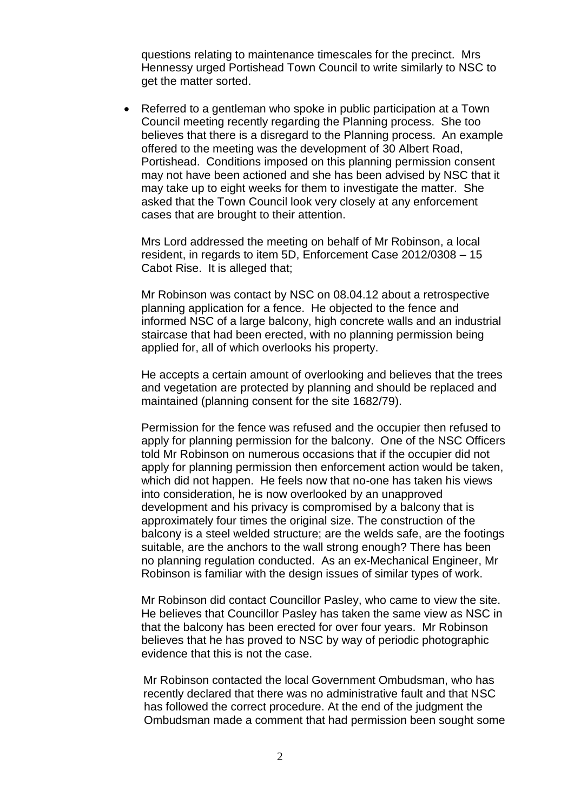questions relating to maintenance timescales for the precinct. Mrs Hennessy urged Portishead Town Council to write similarly to NSC to get the matter sorted.

 Referred to a gentleman who spoke in public participation at a Town Council meeting recently regarding the Planning process. She too believes that there is a disregard to the Planning process. An example offered to the meeting was the development of 30 Albert Road, Portishead. Conditions imposed on this planning permission consent may not have been actioned and she has been advised by NSC that it may take up to eight weeks for them to investigate the matter. She asked that the Town Council look very closely at any enforcement cases that are brought to their attention.

Mrs Lord addressed the meeting on behalf of Mr Robinson, a local resident, in regards to item 5D, Enforcement Case 2012/0308 – 15 Cabot Rise. It is alleged that;

Mr Robinson was contact by NSC on 08.04.12 about a retrospective planning application for a fence. He objected to the fence and informed NSC of a large balcony, high concrete walls and an industrial staircase that had been erected, with no planning permission being applied for, all of which overlooks his property.

He accepts a certain amount of overlooking and believes that the trees and vegetation are protected by planning and should be replaced and maintained (planning consent for the site 1682/79).

Permission for the fence was refused and the occupier then refused to apply for planning permission for the balcony. One of the NSC Officers told Mr Robinson on numerous occasions that if the occupier did not apply for planning permission then enforcement action would be taken, which did not happen. He feels now that no-one has taken his views into consideration, he is now overlooked by an unapproved development and his privacy is compromised by a balcony that is approximately four times the original size. The construction of the balcony is a steel welded structure; are the welds safe, are the footings suitable, are the anchors to the wall strong enough? There has been no planning regulation conducted. As an ex-Mechanical Engineer, Mr Robinson is familiar with the design issues of similar types of work.

Mr Robinson did contact Councillor Pasley, who came to view the site. He believes that Councillor Pasley has taken the same view as NSC in that the balcony has been erected for over four years. Mr Robinson believes that he has proved to NSC by way of periodic photographic evidence that this is not the case.

 Mr Robinson contacted the local Government Ombudsman, who has recently declared that there was no administrative fault and that NSC has followed the correct procedure. At the end of the judgment the Ombudsman made a comment that had permission been sought some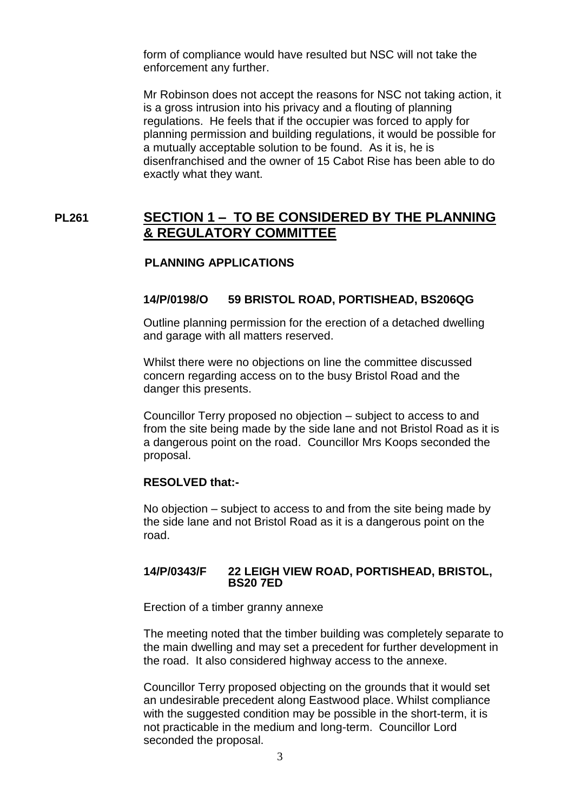form of compliance would have resulted but NSC will not take the enforcement any further.

Mr Robinson does not accept the reasons for NSC not taking action, it is a gross intrusion into his privacy and a flouting of planning regulations. He feels that if the occupier was forced to apply for planning permission and building regulations, it would be possible for a mutually acceptable solution to be found. As it is, he is disenfranchised and the owner of 15 Cabot Rise has been able to do exactly what they want.

## **PL261 SECTION 1 – TO BE CONSIDERED BY THE PLANNING & REGULATORY COMMITTEE**

## **PLANNING APPLICATIONS**

### **14/P/0198/O 59 BRISTOL ROAD, PORTISHEAD, BS206QG**

 Outline planning permission for the erection of a detached dwelling and garage with all matters reserved.

Whilst there were no objections on line the committee discussed concern regarding access on to the busy Bristol Road and the danger this presents.

Councillor Terry proposed no objection – subject to access to and from the site being made by the side lane and not Bristol Road as it is a dangerous point on the road. Councillor Mrs Koops seconded the proposal.

### **RESOLVED that:-**

No objection – subject to access to and from the site being made by the side lane and not Bristol Road as it is a dangerous point on the road.

### **14/P/0343/F 22 LEIGH VIEW ROAD, PORTISHEAD, BRISTOL, BS20 7ED**

Erection of a timber granny annexe

The meeting noted that the timber building was completely separate to the main dwelling and may set a precedent for further development in the road. It also considered highway access to the annexe.

Councillor Terry proposed objecting on the grounds that it would set an undesirable precedent along Eastwood place. Whilst compliance with the suggested condition may be possible in the short-term, it is not practicable in the medium and long-term. Councillor Lord seconded the proposal.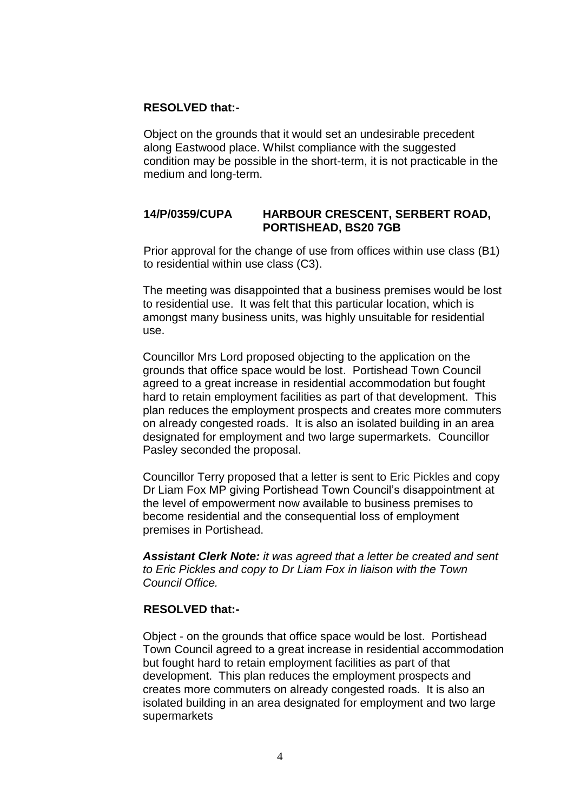### **RESOLVED that:-**

Object on the grounds that it would set an undesirable precedent along Eastwood place. Whilst compliance with the suggested condition may be possible in the short-term, it is not practicable in the medium and long-term.

### **14/P/0359/CUPA HARBOUR CRESCENT, SERBERT ROAD, PORTISHEAD, BS20 7GB**

Prior approval for the change of use from offices within use class (B1) to residential within use class (C3).

The meeting was disappointed that a business premises would be lost to residential use. It was felt that this particular location, which is amongst many business units, was highly unsuitable for residential use.

Councillor Mrs Lord proposed objecting to the application on the grounds that office space would be lost. Portishead Town Council agreed to a great increase in residential accommodation but fought hard to retain employment facilities as part of that development. This plan reduces the employment prospects and creates more commuters on already congested roads. It is also an isolated building in an area designated for employment and two large supermarkets. Councillor Pasley seconded the proposal.

Councillor Terry proposed that a letter is sent to Eric Pickles and copy Dr Liam Fox MP giving Portishead Town Council's disappointment at the level of empowerment now available to business premises to become residential and the consequential loss of employment premises in Portishead.

*Assistant Clerk Note: it was agreed that a letter be created and sent to Eric Pickles and copy to Dr Liam Fox in liaison with the Town Council Office.* 

### **RESOLVED that:-**

Object - on the grounds that office space would be lost. Portishead Town Council agreed to a great increase in residential accommodation but fought hard to retain employment facilities as part of that development. This plan reduces the employment prospects and creates more commuters on already congested roads. It is also an isolated building in an area designated for employment and two large supermarkets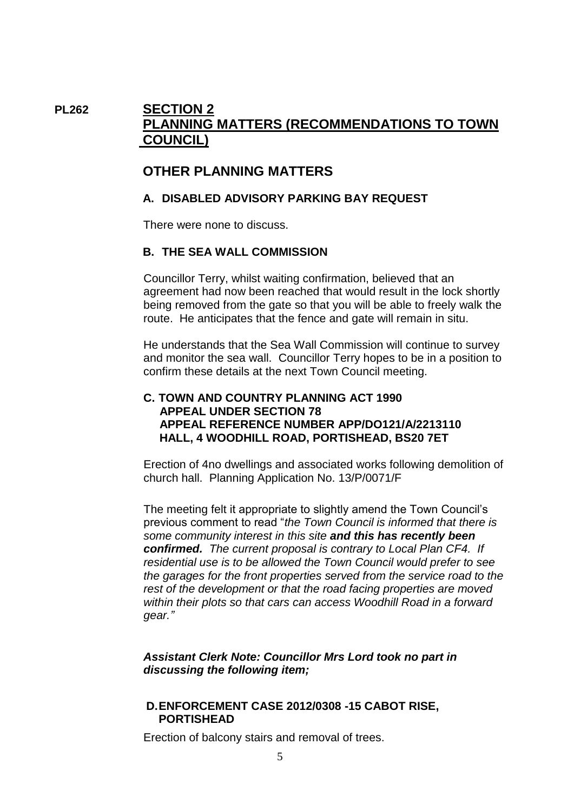# **PL262 SECTION 2 PLANNING MATTERS (RECOMMENDATIONS TO TOWN COUNCIL)**

## **OTHER PLANNING MATTERS**

## **A. DISABLED ADVISORY PARKING BAY REQUEST**

There were none to discuss.

## **B. THE SEA WALL COMMISSION**

Councillor Terry, whilst waiting confirmation, believed that an agreement had now been reached that would result in the lock shortly being removed from the gate so that you will be able to freely walk the route. He anticipates that the fence and gate will remain in situ.

He understands that the Sea Wall Commission will continue to survey and monitor the sea wall. Councillor Terry hopes to be in a position to confirm these details at the next Town Council meeting.

## **C. TOWN AND COUNTRY PLANNING ACT 1990 APPEAL UNDER SECTION 78 APPEAL REFERENCE NUMBER APP/DO121/A/2213110 HALL, 4 WOODHILL ROAD, PORTISHEAD, BS20 7ET**

Erection of 4no dwellings and associated works following demolition of church hall. Planning Application No. 13/P/0071/F

The meeting felt it appropriate to slightly amend the Town Council's previous comment to read "*the Town Council is informed that there is some community interest in this site and this has recently been confirmed. The current proposal is contrary to Local Plan CF4. If residential use is to be allowed the Town Council would prefer to see the garages for the front properties served from the service road to the rest of the development or that the road facing properties are moved within their plots so that cars can access Woodhill Road in a forward gear."*

## *Assistant Clerk Note: Councillor Mrs Lord took no part in discussing the following item;*

### **D.ENFORCEMENT CASE 2012/0308 -15 CABOT RISE, PORTISHEAD**

Erection of balcony stairs and removal of trees.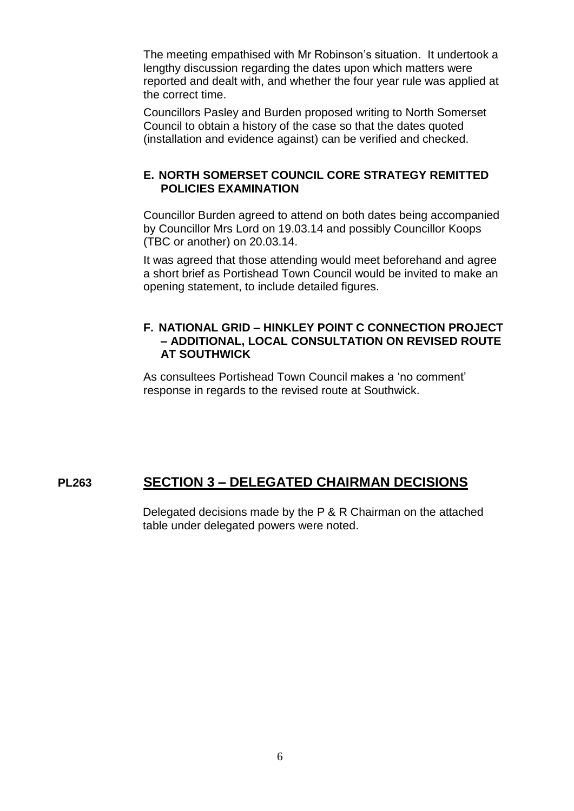The meeting empathised with Mr Robinson's situation. It undertook a lengthy discussion regarding the dates upon which matters were reported and dealt with, and whether the four year rule was applied at the correct time.

Councillors Pasley and Burden proposed writing to North Somerset Council to obtain a history of the case so that the dates quoted (installation and evidence against) can be verified and checked.

## **E. NORTH SOMERSET COUNCIL CORE STRATEGY REMITTED POLICIES EXAMINATION**

Councillor Burden agreed to attend on both dates being accompanied by Councillor Mrs Lord on 19.03.14 and possibly Councillor Koops (TBC or another) on 20.03.14.

It was agreed that those attending would meet beforehand and agree a short brief as Portishead Town Council would be invited to make an opening statement, to include detailed figures.

## **F. NATIONAL GRID – HINKLEY POINT C CONNECTION PROJECT – ADDITIONAL, LOCAL CONSULTATION ON REVISED ROUTE AT SOUTHWICK**

As consultees Portishead Town Council makes a 'no comment' response in regards to the revised route at Southwick.

# **PL263 SECTION 3 – DELEGATED CHAIRMAN DECISIONS**

Delegated decisions made by the P & R Chairman on the attached table under delegated powers were noted.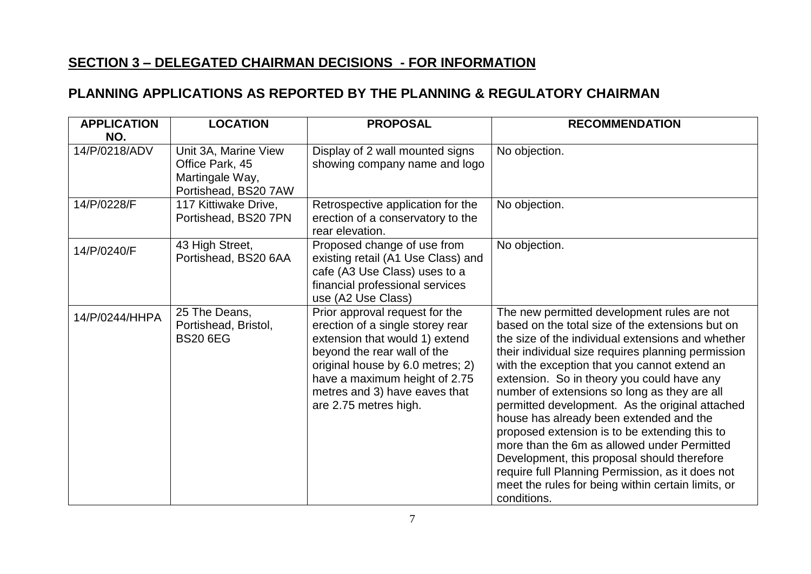# **SECTION 3 – DELEGATED CHAIRMAN DECISIONS - FOR INFORMATION**

# **PLANNING APPLICATIONS AS REPORTED BY THE PLANNING & REGULATORY CHAIRMAN**

| <b>APPLICATION</b><br>NO. | <b>LOCATION</b>                                                                    | <b>PROPOSAL</b>                                                                                                                                                                                                                                                    | <b>RECOMMENDATION</b>                                                                                                                                                                                                                                                                                                                                                                                                                                                                                                                                                                                                                                                                                                          |
|---------------------------|------------------------------------------------------------------------------------|--------------------------------------------------------------------------------------------------------------------------------------------------------------------------------------------------------------------------------------------------------------------|--------------------------------------------------------------------------------------------------------------------------------------------------------------------------------------------------------------------------------------------------------------------------------------------------------------------------------------------------------------------------------------------------------------------------------------------------------------------------------------------------------------------------------------------------------------------------------------------------------------------------------------------------------------------------------------------------------------------------------|
| 14/P/0218/ADV             | Unit 3A, Marine View<br>Office Park, 45<br>Martingale Way,<br>Portishead, BS20 7AW | Display of 2 wall mounted signs<br>showing company name and logo                                                                                                                                                                                                   | No objection.                                                                                                                                                                                                                                                                                                                                                                                                                                                                                                                                                                                                                                                                                                                  |
| 14/P/0228/F               | 117 Kittiwake Drive,<br>Portishead, BS20 7PN                                       | Retrospective application for the<br>erection of a conservatory to the<br>rear elevation.                                                                                                                                                                          | No objection.                                                                                                                                                                                                                                                                                                                                                                                                                                                                                                                                                                                                                                                                                                                  |
| 14/P/0240/F               | 43 High Street,<br>Portishead, BS20 6AA                                            | Proposed change of use from<br>existing retail (A1 Use Class) and<br>cafe (A3 Use Class) uses to a<br>financial professional services<br>use (A2 Use Class)                                                                                                        | No objection.                                                                                                                                                                                                                                                                                                                                                                                                                                                                                                                                                                                                                                                                                                                  |
| 14/P/0244/HHPA            | 25 The Deans,<br>Portishead, Bristol,<br><b>BS20 6EG</b>                           | Prior approval request for the<br>erection of a single storey rear<br>extension that would 1) extend<br>beyond the rear wall of the<br>original house by 6.0 metres; 2)<br>have a maximum height of 2.75<br>metres and 3) have eaves that<br>are 2.75 metres high. | The new permitted development rules are not<br>based on the total size of the extensions but on<br>the size of the individual extensions and whether<br>their individual size requires planning permission<br>with the exception that you cannot extend an<br>extension. So in theory you could have any<br>number of extensions so long as they are all<br>permitted development. As the original attached<br>house has already been extended and the<br>proposed extension is to be extending this to<br>more than the 6m as allowed under Permitted<br>Development, this proposal should therefore<br>require full Planning Permission, as it does not<br>meet the rules for being within certain limits, or<br>conditions. |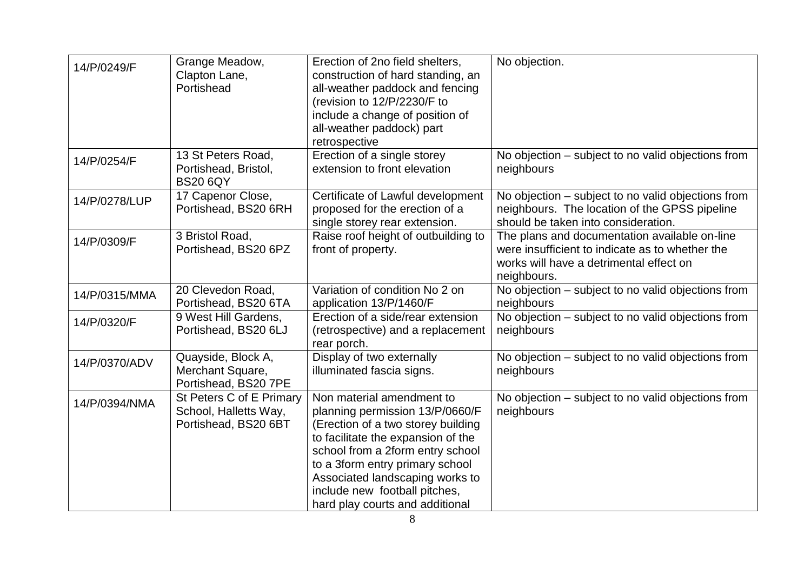| 14/P/0249/F   | Grange Meadow,<br>Clapton Lane,<br>Portishead                             | Erection of 2no field shelters,<br>construction of hard standing, an<br>all-weather paddock and fencing<br>(revision to 12/P/2230/F to<br>include a change of position of<br>all-weather paddock) part<br>retrospective                                                                                                | No objection.                                                                                                                                              |
|---------------|---------------------------------------------------------------------------|------------------------------------------------------------------------------------------------------------------------------------------------------------------------------------------------------------------------------------------------------------------------------------------------------------------------|------------------------------------------------------------------------------------------------------------------------------------------------------------|
| 14/P/0254/F   | 13 St Peters Road,<br>Portishead, Bristol,<br><b>BS20 6QY</b>             | Erection of a single storey<br>extension to front elevation                                                                                                                                                                                                                                                            | No objection – subject to no valid objections from<br>neighbours                                                                                           |
| 14/P/0278/LUP | 17 Capenor Close,<br>Portishead, BS20 6RH                                 | Certificate of Lawful development<br>proposed for the erection of a<br>single storey rear extension.                                                                                                                                                                                                                   | No objection – subject to no valid objections from<br>neighbours. The location of the GPSS pipeline<br>should be taken into consideration.                 |
| 14/P/0309/F   | 3 Bristol Road,<br>Portishead, BS20 6PZ                                   | Raise roof height of outbuilding to<br>front of property.                                                                                                                                                                                                                                                              | The plans and documentation available on-line<br>were insufficient to indicate as to whether the<br>works will have a detrimental effect on<br>neighbours. |
| 14/P/0315/MMA | 20 Clevedon Road,<br>Portishead, BS20 6TA                                 | Variation of condition No 2 on<br>application 13/P/1460/F                                                                                                                                                                                                                                                              | No objection - subject to no valid objections from<br>neighbours                                                                                           |
| 14/P/0320/F   | 9 West Hill Gardens,<br>Portishead, BS20 6LJ                              | Erection of a side/rear extension<br>(retrospective) and a replacement<br>rear porch.                                                                                                                                                                                                                                  | No objection - subject to no valid objections from<br>neighbours                                                                                           |
| 14/P/0370/ADV | Quayside, Block A,<br>Merchant Square,<br>Portishead, BS20 7PE            | Display of two externally<br>illuminated fascia signs.                                                                                                                                                                                                                                                                 | No objection - subject to no valid objections from<br>neighbours                                                                                           |
| 14/P/0394/NMA | St Peters C of E Primary<br>School, Halletts Way,<br>Portishead, BS20 6BT | Non material amendment to<br>planning permission 13/P/0660/F<br>(Erection of a two storey building<br>to facilitate the expansion of the<br>school from a 2form entry school<br>to a 3form entry primary school<br>Associated landscaping works to<br>include new football pitches,<br>hard play courts and additional | No objection – subject to no valid objections from<br>neighbours                                                                                           |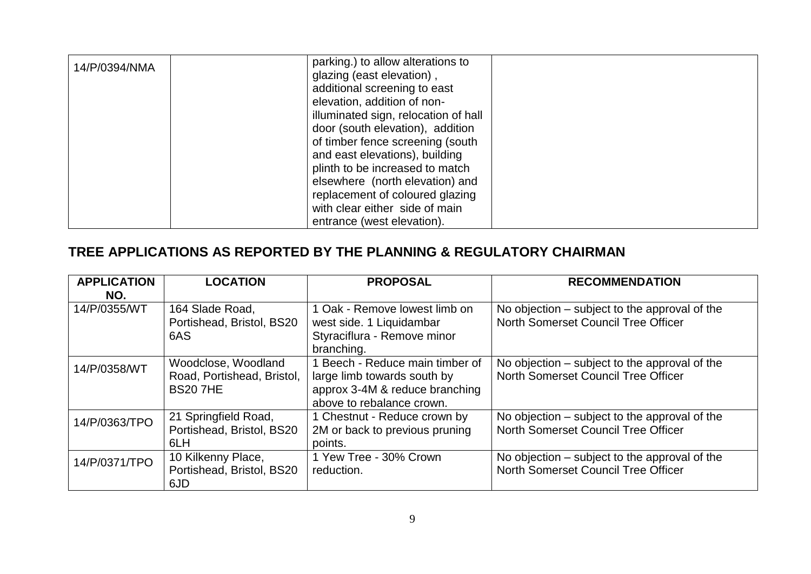| 14/P/0394/NMA | parking.) to allow alterations to    |  |
|---------------|--------------------------------------|--|
|               | glazing (east elevation),            |  |
|               | additional screening to east         |  |
|               | elevation, addition of non-          |  |
|               | illuminated sign, relocation of hall |  |
|               | door (south elevation), addition     |  |
|               | of timber fence screening (south     |  |
|               | and east elevations), building       |  |
|               | plinth to be increased to match      |  |
|               | elsewhere (north elevation) and      |  |
|               | replacement of coloured glazing      |  |
|               | with clear either side of main       |  |
|               | entrance (west elevation).           |  |

# **TREE APPLICATIONS AS REPORTED BY THE PLANNING & REGULATORY CHAIRMAN**

| <b>APPLICATION</b> | <b>LOCATION</b>            | <b>PROPOSAL</b>                 | <b>RECOMMENDATION</b>                         |
|--------------------|----------------------------|---------------------------------|-----------------------------------------------|
| NO.                |                            |                                 |                                               |
| 14/P/0355/WT       | 164 Slade Road,            | 1 Oak - Remove lowest limb on   | No objection – subject to the approval of the |
|                    | Portishead, Bristol, BS20  | west side. 1 Liquidambar        | North Somerset Council Tree Officer           |
|                    | 6AS                        | Styraciflura - Remove minor     |                                               |
|                    |                            | branching.                      |                                               |
| 14/P/0358/WT       | Woodclose, Woodland        | 1 Beech - Reduce main timber of | No objection – subject to the approval of the |
|                    | Road, Portishead, Bristol, | large limb towards south by     | North Somerset Council Tree Officer           |
|                    | <b>BS207HE</b>             | approx 3-4M & reduce branching  |                                               |
|                    |                            | above to rebalance crown.       |                                               |
| 14/P/0363/TPO      | 21 Springfield Road,       | 1 Chestnut - Reduce crown by    | No objection – subject to the approval of the |
|                    | Portishead, Bristol, BS20  | 2M or back to previous pruning  | North Somerset Council Tree Officer           |
|                    | 6LH                        | points.                         |                                               |
| 14/P/0371/TPO      | 10 Kilkenny Place,         | 1 Yew Tree - 30% Crown          | No objection – subject to the approval of the |
|                    | Portishead, Bristol, BS20  | reduction.                      | North Somerset Council Tree Officer           |
|                    | 6JD                        |                                 |                                               |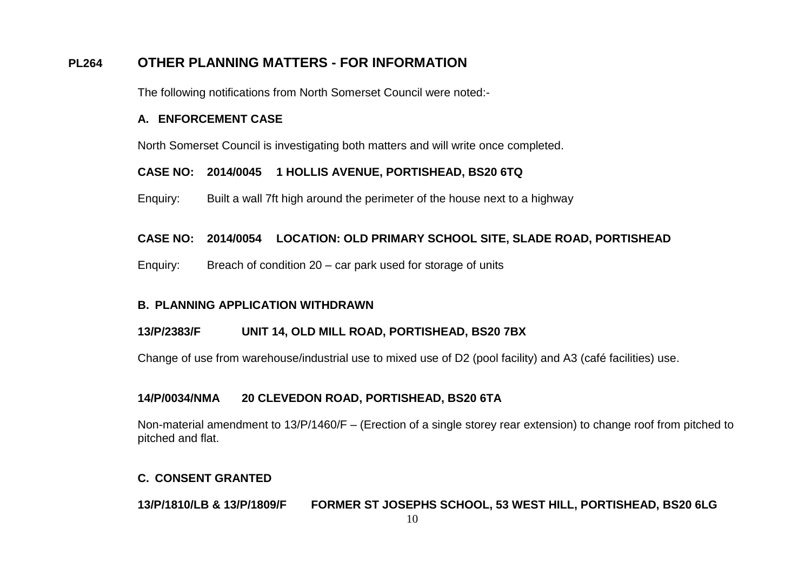# **PL264 OTHER PLANNING MATTERS - FOR INFORMATION**

The following notifications from North Somerset Council were noted:-

### **A. ENFORCEMENT CASE**

North Somerset Council is investigating both matters and will write once completed.

## **CASE NO: 2014/0045 1 HOLLIS AVENUE, PORTISHEAD, BS20 6TQ**

Enquiry: Built a wall 7ft high around the perimeter of the house next to a highway

## **CASE NO: 2014/0054 LOCATION: OLD PRIMARY SCHOOL SITE, SLADE ROAD, PORTISHEAD**

Enquiry: Breach of condition 20 – car park used for storage of units

## **B. PLANNING APPLICATION WITHDRAWN**

## **13/P/2383/F UNIT 14, OLD MILL ROAD, PORTISHEAD, BS20 7BX**

Change of use from warehouse/industrial use to mixed use of D2 (pool facility) and A3 (café facilities) use.

## **14/P/0034/NMA 20 CLEVEDON ROAD, PORTISHEAD, BS20 6TA**

Non-material amendment to 13/P/1460/F – (Erection of a single storey rear extension) to change roof from pitched to pitched and flat.

## **C. CONSENT GRANTED**

**13/P/1810/LB & 13/P/1809/F FORMER ST JOSEPHS SCHOOL, 53 WEST HILL, PORTISHEAD, BS20 6LG**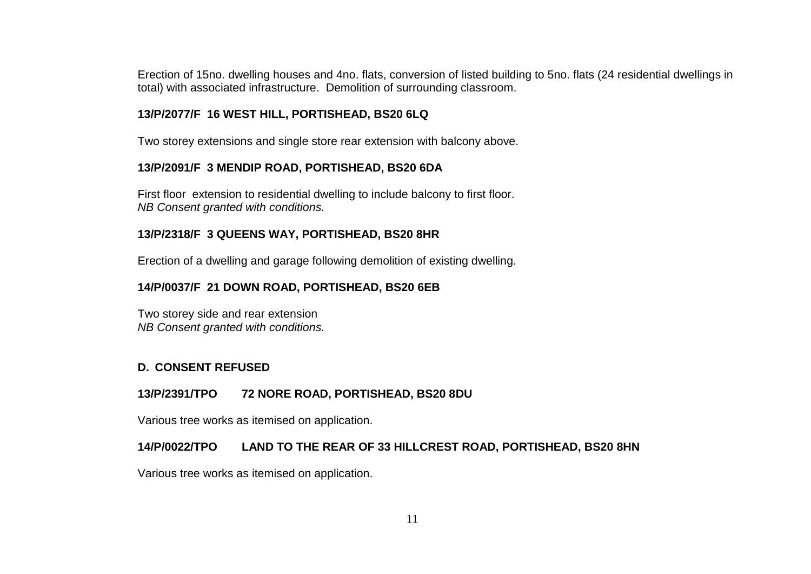Erection of 15no. dwelling houses and 4no. flats, conversion of listed building to 5no. flats (24 residential dwellings in total) with associated infrastructure. Demolition of surrounding classroom.

### **13/P/2077/F 16 WEST HILL, PORTISHEAD, BS20 6LQ**

Two storey extensions and single store rear extension with balcony above.

### **13/P/2091/F 3 MENDIP ROAD, PORTISHEAD, BS20 6DA**

First floor extension to residential dwelling to include balcony to first floor. *NB Consent granted with conditions.*

## **13/P/2318/F 3 QUEENS WAY, PORTISHEAD, BS20 8HR**

Erection of a dwelling and garage following demolition of existing dwelling.

## **14/P/0037/F 21 DOWN ROAD, PORTISHEAD, BS20 6EB**

Two storey side and rear extension *NB Consent granted with conditions.*

## **D. CONSENT REFUSED**

## **13/P/2391/TPO 72 NORE ROAD, PORTISHEAD, BS20 8DU**

Various tree works as itemised on application.

## **14/P/0022/TPO LAND TO THE REAR OF 33 HILLCREST ROAD, PORTISHEAD, BS20 8HN**

Various tree works as itemised on application.